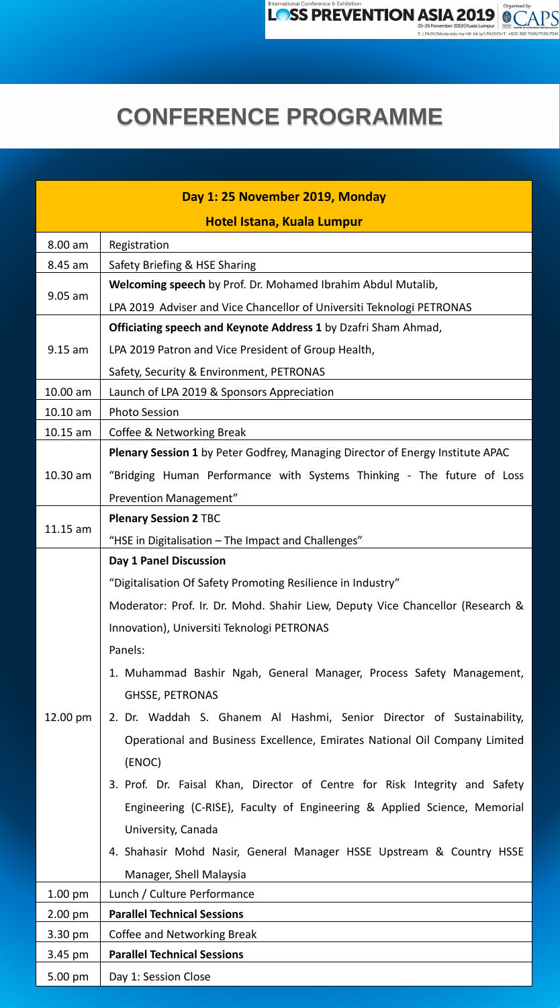International Conference & Exhibition



E: LPA2019@utp.edu.my . W: bit.ly/LPA2019 . T: +605 368 7566/7538/7541

## **CONFERENCE PROGRAMME**

| Day 1: 25 November 2019, Monday |                                                                                       |  |  |  |
|---------------------------------|---------------------------------------------------------------------------------------|--|--|--|
| Hotel Istana, Kuala Lumpur      |                                                                                       |  |  |  |
| $8.00$ am                       | Registration                                                                          |  |  |  |
| 8.45 am                         | <b>Safety Briefing &amp; HSE Sharing</b>                                              |  |  |  |
| $9.05$ am                       | <b>Welcoming speech</b> by Prof. Dr. Mohamed Ibrahim Abdul Mutalib,                   |  |  |  |
|                                 | LPA 2019 Adviser and Vice Chancellor of Universiti Teknologi PETRONAS                 |  |  |  |
|                                 | <b>Officiating speech and Keynote Address 1</b> by Dzafri Sham Ahmad,                 |  |  |  |
| $9.15$ am                       | LPA 2019 Patron and Vice President of Group Health,                                   |  |  |  |
|                                 | Safety, Security & Environment, PETRONAS                                              |  |  |  |
| $10.00$ am                      | Launch of LPA 2019 & Sponsors Appreciation                                            |  |  |  |
| $10.10$ am                      | <b>Photo Session</b>                                                                  |  |  |  |
| $10.15$ am                      | Coffee & Networking Break                                                             |  |  |  |
|                                 | <b>Plenary Session 1</b> by Peter Godfrey, Managing Director of Energy Institute APAC |  |  |  |
| $10.30$ am                      | "Bridging Human Performance with Systems Thinking - The future of Loss                |  |  |  |
|                                 | <b>Prevention Management"</b>                                                         |  |  |  |
| $11.15$ am                      | <b>Plenary Session 2 TBC</b>                                                          |  |  |  |
|                                 | "HSE in Digitalisation - The Impact and Challenges"                                   |  |  |  |
|                                 | <b>Day 1 Panel Discussion</b>                                                         |  |  |  |
|                                 | "Digitalisation Of Safety Promoting Resilience in Industry"                           |  |  |  |
|                                 | Moderator: Prof. Ir. Dr. Mohd. Shahir Liew, Deputy Vice Chancellor (Research &        |  |  |  |
|                                 | Innovation), Universiti Teknologi PETRONAS                                            |  |  |  |
|                                 | Panels:                                                                               |  |  |  |
|                                 | 1. Muhammad Bashir Ngah, General Manager, Process Safety Management,                  |  |  |  |
|                                 | <b>GHSSE, PETRONAS</b>                                                                |  |  |  |

| 12.00 pm  | 2. Dr. Waddah S. Ghanem Al Hashmi, Senior Director of Sustainability,      |
|-----------|----------------------------------------------------------------------------|
|           | Operational and Business Excellence, Emirates National Oil Company Limited |
|           | (ENOC)                                                                     |
|           | 3. Prof. Dr. Faisal Khan, Director of Centre for Risk Integrity and Safety |
|           | Engineering (C-RISE), Faculty of Engineering & Applied Science, Memorial   |
|           | University, Canada                                                         |
|           | 4. Shahasir Mohd Nasir, General Manager HSSE Upstream & Country HSSE       |
|           | Manager, Shell Malaysia                                                    |
| $1.00$ pm | Lunch / Culture Performance                                                |
| 2.00 pm   | <b>Parallel Technical Sessions</b>                                         |
| 3.30 pm   | <b>Coffee and Networking Break</b>                                         |
| 3.45 pm   | <b>Parallel Technical Sessions</b>                                         |
| 5.00 pm   | Day 1: Session Close                                                       |